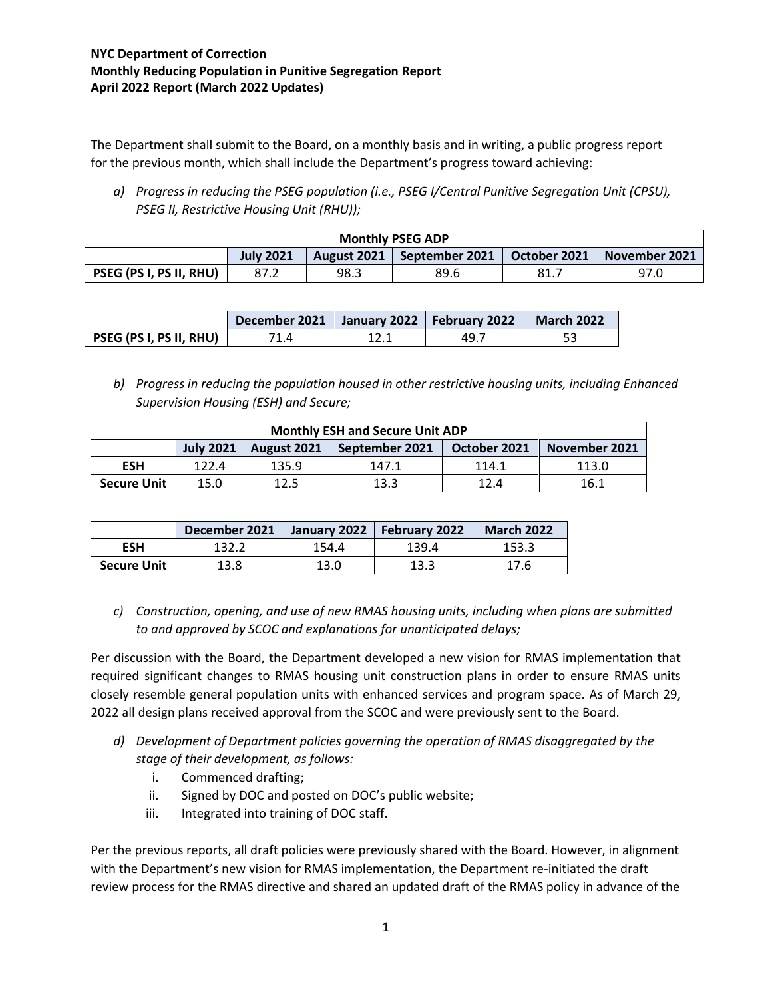The Department shall submit to the Board, on a monthly basis and in writing, a public progress report for the previous month, which shall include the Department's progress toward achieving:

*a) Progress in reducing the PSEG population (i.e., PSEG I/Central Punitive Segregation Unit (CPSU), PSEG II, Restrictive Housing Unit (RHU));*

| <b>Monthly PSEG ADP</b> |                  |      |                              |              |               |  |
|-------------------------|------------------|------|------------------------------|--------------|---------------|--|
|                         | <b>July 2021</b> |      | August 2021   September 2021 | October 2021 | November 2021 |  |
| PSEG (PS I, PS II, RHU) | 87.2             | 98.3 | 89.6                         | 81.7         | 97.0          |  |

|                         | December 2021   January 2022   February 2022 |      | <b>March 2022</b> |
|-------------------------|----------------------------------------------|------|-------------------|
| PSEG (PS I, PS II, RHU) | 71.4                                         | 49.7 |                   |

*b) Progress in reducing the population housed in other restrictive housing units, including Enhanced Supervision Housing (ESH) and Secure;*

| <b>Monthly ESH and Secure Unit ADP</b> |                  |             |                |              |               |  |
|----------------------------------------|------------------|-------------|----------------|--------------|---------------|--|
|                                        | <b>July 2021</b> | August 2021 | September 2021 | October 2021 | November 2021 |  |
| <b>ESH</b>                             | 122.4            | 135.9       | 147.1          | 114.1        | 113.0         |  |
| <b>Secure Unit</b>                     | 15.0             | 12.5        | 13.3           | 12.4         | 16.1          |  |

|                    | December 2021 |       | January 2022   February 2022 | <b>March 2022</b> |
|--------------------|---------------|-------|------------------------------|-------------------|
| ESH                | 132.2         | 154.4 | 139.4                        | 153.3             |
| <b>Secure Unit</b> | 13.8          | 13.0  | 13.3                         | 17.6              |

*c) Construction, opening, and use of new RMAS housing units, including when plans are submitted to and approved by SCOC and explanations for unanticipated delays;*

Per discussion with the Board, the Department developed a new vision for RMAS implementation that required significant changes to RMAS housing unit construction plans in order to ensure RMAS units closely resemble general population units with enhanced services and program space. As of March 29, 2022 all design plans received approval from the SCOC and were previously sent to the Board.

- *d) Development of Department policies governing the operation of RMAS disaggregated by the stage of their development, as follows:*
	- i. Commenced drafting;
	- ii. Signed by DOC and posted on DOC's public website;
	- iii. Integrated into training of DOC staff.

Per the previous reports, all draft policies were previously shared with the Board. However, in alignment with the Department's new vision for RMAS implementation, the Department re-initiated the draft review process for the RMAS directive and shared an updated draft of the RMAS policy in advance of the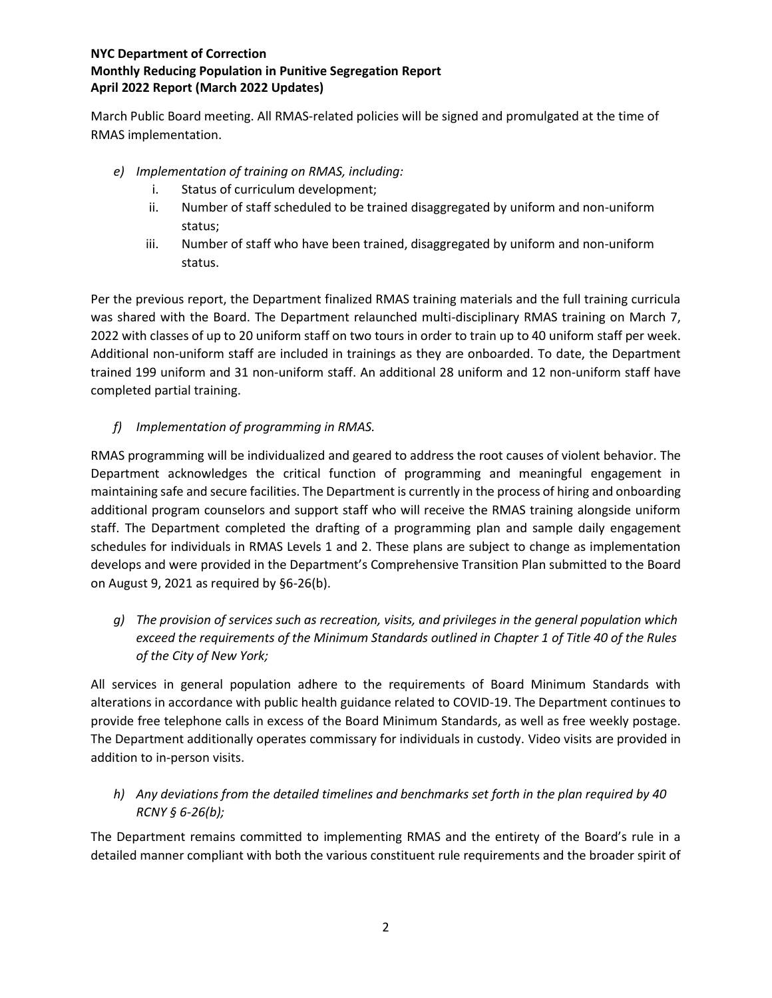## **NYC Department of Correction Monthly Reducing Population in Punitive Segregation Report April 2022 Report (March 2022 Updates)**

March Public Board meeting. All RMAS-related policies will be signed and promulgated at the time of RMAS implementation.

- *e) Implementation of training on RMAS, including:*
	- i. Status of curriculum development;
	- ii. Number of staff scheduled to be trained disaggregated by uniform and non-uniform status;
	- iii. Number of staff who have been trained, disaggregated by uniform and non-uniform status.

Per the previous report, the Department finalized RMAS training materials and the full training curricula was shared with the Board. The Department relaunched multi-disciplinary RMAS training on March 7, 2022 with classes of up to 20 uniform staff on two tours in order to train up to 40 uniform staff per week. Additional non-uniform staff are included in trainings as they are onboarded. To date, the Department trained 199 uniform and 31 non-uniform staff. An additional 28 uniform and 12 non-uniform staff have completed partial training.

*f) Implementation of programming in RMAS.*

RMAS programming will be individualized and geared to address the root causes of violent behavior. The Department acknowledges the critical function of programming and meaningful engagement in maintaining safe and secure facilities. The Department is currently in the process of hiring and onboarding additional program counselors and support staff who will receive the RMAS training alongside uniform staff. The Department completed the drafting of a programming plan and sample daily engagement schedules for individuals in RMAS Levels 1 and 2. These plans are subject to change as implementation develops and were provided in the Department's Comprehensive Transition Plan submitted to the Board on August 9, 2021 as required by §6-26(b).

*g) The provision of services such as recreation, visits, and privileges in the general population which exceed the requirements of the Minimum Standards outlined in Chapter 1 of Title 40 of the Rules of the City of New York;*

All services in general population adhere to the requirements of Board Minimum Standards with alterations in accordance with public health guidance related to COVID-19. The Department continues to provide free telephone calls in excess of the Board Minimum Standards, as well as free weekly postage. The Department additionally operates commissary for individuals in custody. Video visits are provided in addition to in-person visits.

*h) Any deviations from the detailed timelines and benchmarks set forth in the plan required by 40 RCNY § 6-26(b);*

The Department remains committed to implementing RMAS and the entirety of the Board's rule in a detailed manner compliant with both the various constituent rule requirements and the broader spirit of